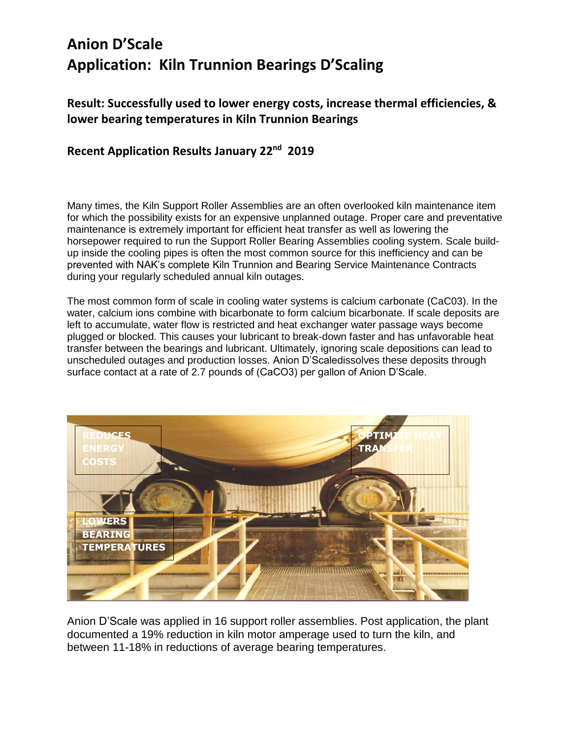## **Anion D'Scale Application: Kiln Trunnion Bearings D'Scaling**

**Result: Successfully used to lower energy costs, increase thermal efficiencies, & lower bearing temperatures in Kiln Trunnion Bearings**

## **Recent Application Results January 22nd 2019**

Many times, the Kiln Support Roller Assemblies are an often overlooked kiln maintenance item for which the possibility exists for an expensive unplanned outage. Proper care and preventative maintenance is extremely important for efficient heat transfer as well as lowering the horsepower required to run the Support Roller Bearing Assemblies cooling system. Scale buildup inside the cooling pipes is often the most common source for this inefficiency and can be prevented with NAK's complete Kiln Trunnion and Bearing Service Maintenance Contracts during your regularly scheduled annual kiln outages.

The most common form of scale in cooling water systems is calcium carbonate (CaC03). In the water, calcium ions combine with bicarbonate to form calcium bicarbonate. If scale deposits are left to accumulate, water flow is restricted and heat exchanger water passage ways become plugged or blocked. This causes your lubricant to break-down faster and has unfavorable heat transfer between the bearings and lubricant. Ultimately, ignoring scale depositions can lead to unscheduled outages and production losses. Anion D'Scaledissolves these deposits through surface contact at a rate of 2.7 pounds of (CaCO3) per gallon of Anion D'Scale.



Anion D'Scale was applied in 16 support roller assemblies. Post application, the plant documented a 19% reduction in kiln motor amperage used to turn the kiln, and between 11-18% in reductions of average bearing temperatures.